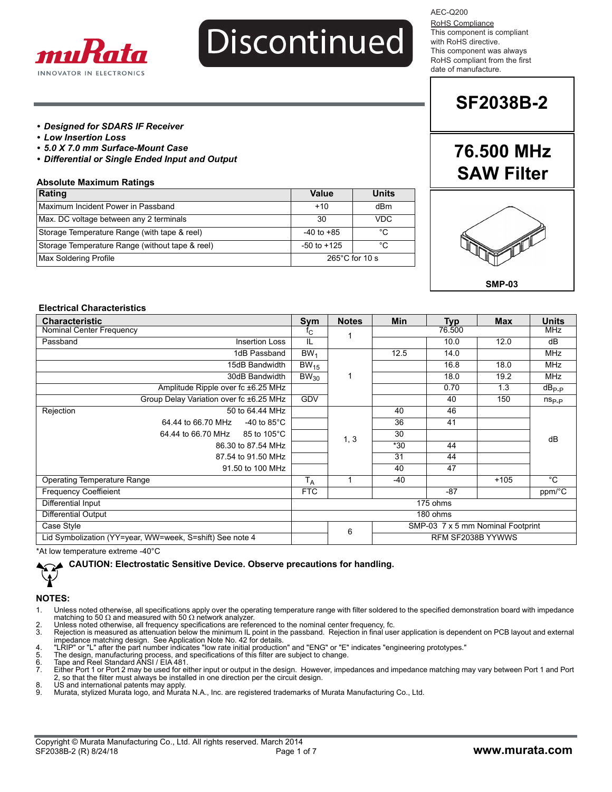

#### AEC-Q200

RoHS Compliance This component is compliant with RoHS directive. This component was always RoHS compliant from the first date of manufacture.

### **SF2038B-2**

**76.500 MHz**

#### *• Designed for SDARS IF Receiver*

- *Low Insertion Loss*
- *5.0 X 7.0 mm Surface-Mount Case*
- *Differential or Single Ended Input and Output*

#### **Absolute Maximum Ratings**

| Rating                                          | Value                    | <b>Units</b> |  |
|-------------------------------------------------|--------------------------|--------------|--|
| Maximum Incident Power in Passband              | $+10$                    | dBm          |  |
| Max. DC voltage between any 2 terminals         | 30                       | VDC          |  |
| Storage Temperature Range (with tape & reel)    | $-40$ to $+85$           | °C           |  |
| Storage Temperature Range (without tape & reel) | $-50$ to $+125$          | °C           |  |
| Max Soldering Profile                           | $265^{\circ}$ C for 10 s |              |  |



**SMP-03**

#### **Electrical Characteristics**

| <b>Characteristic</b>                                    |                 | <b>Notes</b> | Min    | <b>Typ</b>                        | <b>Max</b> | <b>Units</b>   |
|----------------------------------------------------------|-----------------|--------------|--------|-----------------------------------|------------|----------------|
| Nominal Center Frequency                                 |                 |              | 76.500 |                                   | <b>MHz</b> |                |
| Passband<br><b>Insertion Loss</b>                        | IL              |              |        | 10.0                              | 12.0       | dB             |
| 1dB Passband                                             | BW <sub>1</sub> |              | 12.5   | 14.0                              |            | <b>MHz</b>     |
| 15dB Bandwidth                                           | $BW_{15}$       |              |        | 16.8                              | 18.0       | <b>MHz</b>     |
| 30dB Bandwidth                                           | $BW_{30}$       |              |        | 18.0                              | 19.2       | <b>MHz</b>     |
| Amplitude Ripple over fc ±6.25 MHz                       |                 |              |        | 0.70                              | 1.3        | $dB_{P-P}$     |
| Group Delay Variation over fc ±6.25 MHz                  | <b>GDV</b>      |              |        | 40                                | 150        | $n_{\rm Sp,p}$ |
| Rejection<br>50 to 64.44 MHz                             |                 |              | 40     | 46                                |            |                |
| 64.44 to 66.70 MHz<br>-40 to 85 $^{\circ}$ C             |                 |              | 36     | 41                                |            |                |
| 85 to 105°C<br>64.44 to 66.70 MHz                        |                 | 1, 3         | 30     |                                   |            | dB             |
| 86.30 to 87.54 MHz                                       |                 |              | $*30$  | 44                                |            |                |
| 87.54 to 91.50 MHz                                       |                 |              | 31     | 44                                |            |                |
| 91.50 to 100 MHz                                         |                 |              | 40     | 47                                |            |                |
| <b>Operating Temperature Range</b>                       |                 |              | $-40$  |                                   | $+105$     | $^{\circ}$ C   |
| <b>Frequency Coeffieient</b>                             |                 |              |        | $-87$                             |            | ppm/°C         |
| Differential Input                                       | 175 ohms        |              |        |                                   |            |                |
| Differential Output                                      | 180 ohms        |              |        |                                   |            |                |
| Case Style                                               |                 | 6            |        | SMP-03 7 x 5 mm Nominal Footprint |            |                |
| Lid Symbolization (YY=year, WW=week, S=shift) See note 4 |                 |              |        | RFM SF2038B YYWWS                 |            |                |

\*At low temperature extreme -40°C

#### **CAUTION: Electrostatic Sensitive Device. Observe precautions for handling.**

#### **NOTES:**

⊁

- 1. Unless noted otherwise, all specifications apply over the operating temperature range with filter soldered to the specified demonstration board with impedance matching to 50  $\Omega$  and measured with 50  $\Omega$  network analyzer.
- 2. Unless noted otherwise, all frequency specifications are referenced to the nominal center frequency, fc.<br>3. Rejection is measured as attenuation below the minimum IL point in the passband. Rejection in final use
- Rejection is measured as attenuation below the minimum IL point in the passband. Rejection in final user application is dependent on PCB layout and external impedance matching design. See Application Note No. 42 for details.<br>4. "LRIP" or "L" after the part number indicates "low rate initial production" and "ENG" or "E" indicates "engineering prototypes."<br>5. The design,
- 
- 
- 8. Tape and Reel Standard ANSI / EIA 481. The contract of the term and the serve compared the compared matching may vary between Port 1 and Port<br>7. Either Port 1 or Port 2 may be used for either input or output in the desi 2, so that the filter must always be installed in one direction per the circuit design.
- 8. US and international patents may apply. 9. Murata, stylized Murata logo, and Murata N.A., Inc. are registered trademarks of Murata Manufacturing Co., Ltd.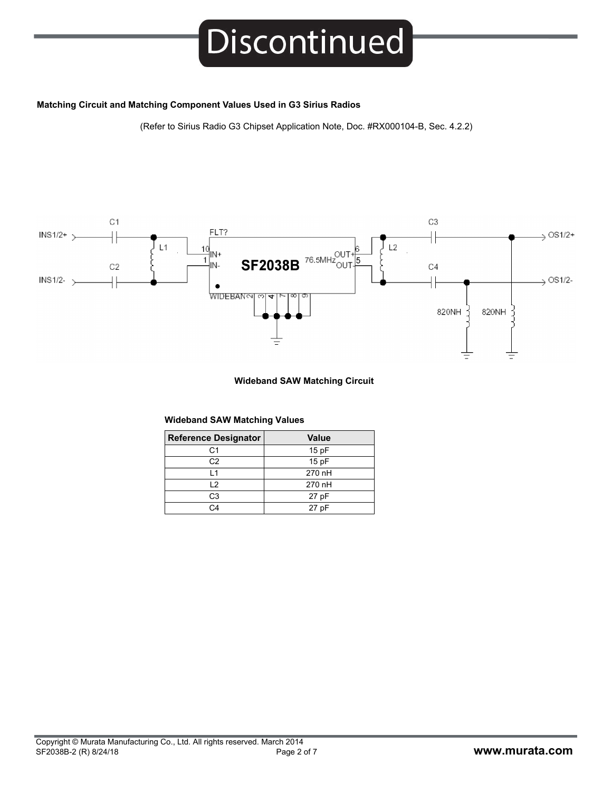#### **Matching Circuit and Matching Component Values Used in G3 Sirius Radios**

(Refer to Sirius Radio G3 Chipset Application Note, Doc. #RX000104-B, Sec. 4.2.2)



#### **Wideband SAW Matching Circuit**

#### **Wideband SAW Matching Values**

| <b>Reference Designator</b> | <b>Value</b> |
|-----------------------------|--------------|
| C <sub>1</sub>              | 15pF         |
| C <sub>2</sub>              | 15pF         |
| $\overline{1}$              | 270 nH       |
| $\overline{2}$              | 270 nH       |
| C <sub>3</sub>              | 27 pF        |
| $\cap$ 4                    | 27 pF        |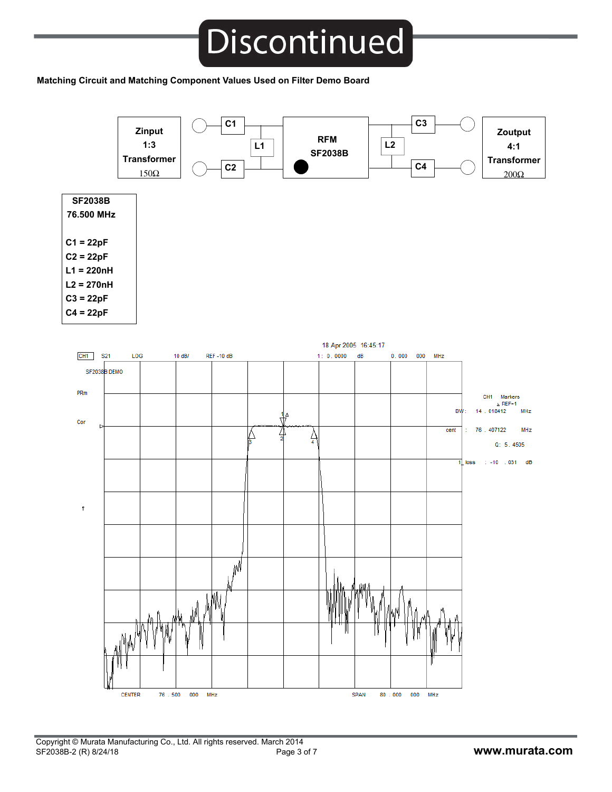#### **Matching Circuit and Matching Component Values Used on Filter Demo Board**

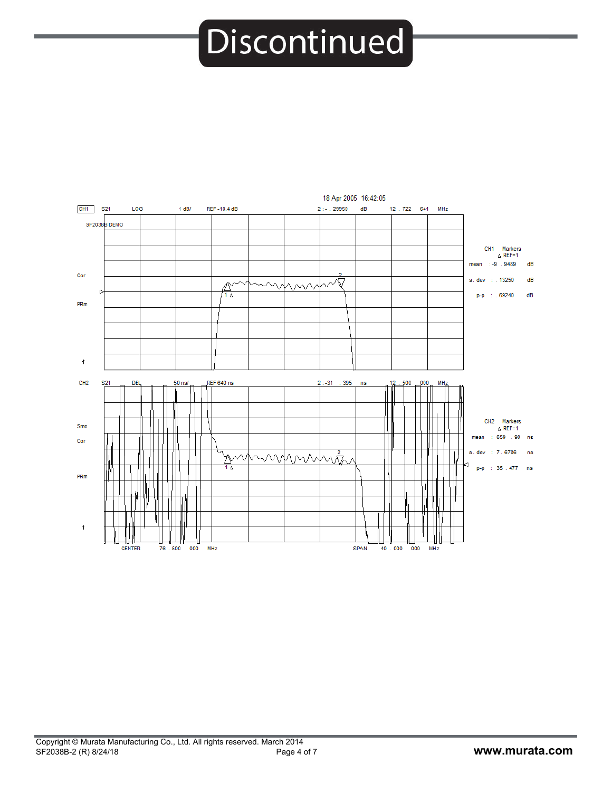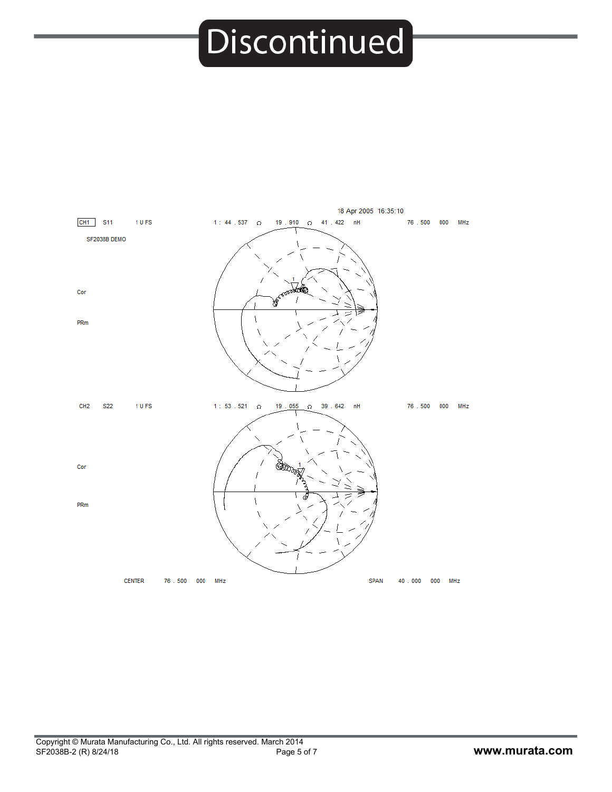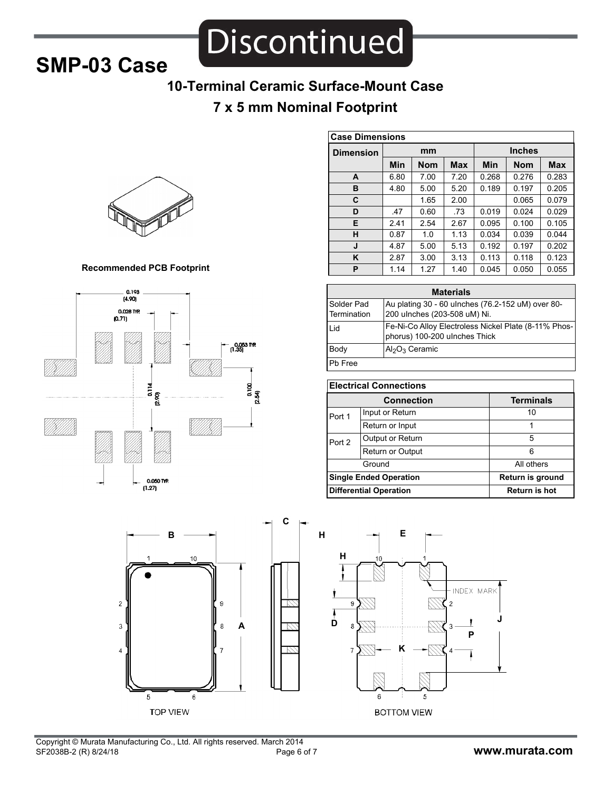### **SMP-03 Case**

Discontinued

### **10-Terminal Ceramic Surface-Mount Case**

### **7 x 5 mm Nominal Footprint**



#### **Recommended PCB Footprint**





| <b>Case Dimensions</b> |            |            |            |               |            |       |
|------------------------|------------|------------|------------|---------------|------------|-------|
| <b>Dimension</b>       | mm         |            |            | <b>Inches</b> |            |       |
|                        | <b>Min</b> | <b>Nom</b> | <b>Max</b> | Min           | <b>Nom</b> | Max   |
| A                      | 6.80       | 7.00       | 7.20       | 0.268         | 0.276      | 0.283 |
| в                      | 4.80       | 5.00       | 5.20       | 0.189         | 0.197      | 0.205 |
| C                      |            | 1.65       | 2.00       |               | 0.065      | 0.079 |
| D                      | .47        | 0.60       | .73        | 0.019         | 0.024      | 0.029 |
| Е                      | 2.41       | 2.54       | 2.67       | 0.095         | 0.100      | 0.105 |
| н                      | 0.87       | 1.0        | 1.13       | 0.034         | 0.039      | 0.044 |
| J                      | 4.87       | 5.00       | 5.13       | 0.192         | 0.197      | 0.202 |
| ĸ                      | 2.87       | 3.00       | 3.13       | 0.113         | 0.118      | 0.123 |
| P                      | 1.14       | 1.27       | 1.40       | 0.045         | 0.050      | 0.055 |

| <b>Materials</b> |                                                      |  |  |
|------------------|------------------------------------------------------|--|--|
| Solder Pad       | Au plating 30 - 60 ulnches (76.2-152 uM) over 80-    |  |  |
| Termination      | 200 ulnches (203-508 uM) Ni.                         |  |  |
| l id             | Fe-Ni-Co Alloy Electroless Nickel Plate (8-11% Phos- |  |  |
|                  | phorus) 100-200 ulnches Thick                        |  |  |
| Body             | $AlgO3$ Ceramic                                      |  |  |
| Ph Free          |                                                      |  |  |

| <b>Electrical Connections</b> |                               |                  |  |
|-------------------------------|-------------------------------|------------------|--|
|                               | <b>Connection</b>             | <b>Terminals</b> |  |
| Port 1                        | Input or Return               | 10               |  |
|                               | Return or Input               |                  |  |
| Port 2                        | Output or Return              | 5                |  |
| <b>Return or Output</b>       |                               | 6                |  |
|                               | Ground                        | All others       |  |
| <b>Single Ended Operation</b> |                               | Return is ground |  |
|                               | <b>Differential Operation</b> | Return is hot    |  |

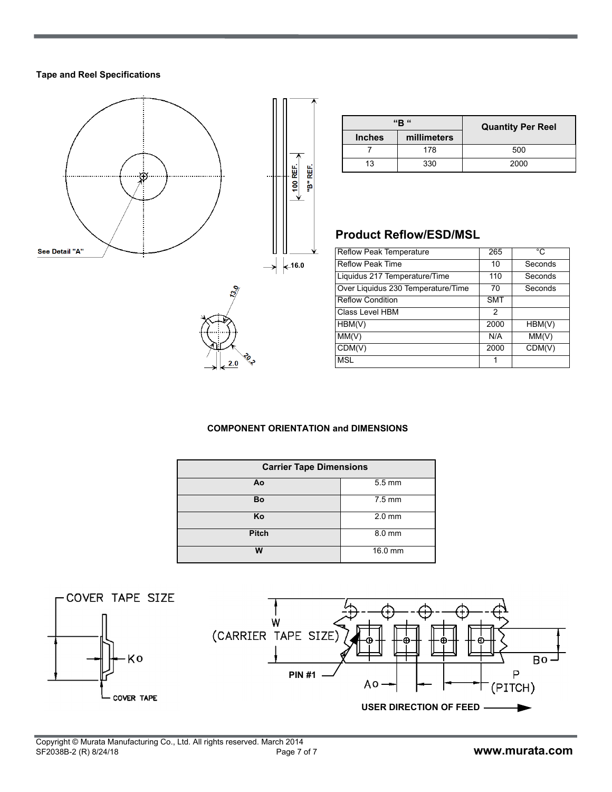#### **Tape and Reel Specifications**



|               | "R "        | <b>Quantity Per Reel</b> |  |
|---------------|-------------|--------------------------|--|
| <b>Inches</b> | millimeters |                          |  |
|               | 178         | 500                      |  |
| 13            | 330         | 2000                     |  |

#### **Product Reflow/ESD/MSL**

| <b>Reflow Peak Temperature</b>     | 265           | °C      |
|------------------------------------|---------------|---------|
| <b>Reflow Peak Time</b>            | 10            | Seconds |
| Liquidus 217 Temperature/Time      | 110           | Seconds |
| Over Liquidus 230 Temperature/Time | 70            | Seconds |
| <b>Reflow Condition</b>            | <b>SMT</b>    |         |
| Class Level HBM                    | $\mathcal{P}$ |         |
| HBM(V)                             | 2000          | HBM(V)  |
| MM(V)                              | N/A           | MM(V)   |
| CDM(V)                             | 2000          | CDM(V)  |
| <b>MSL</b>                         |               |         |

#### **COMPONENT ORIENTATION and DIMENSIONS**

| <b>Carrier Tape Dimensions</b> |                  |  |  |  |
|--------------------------------|------------------|--|--|--|
| Ao                             | $5.5 \text{ mm}$ |  |  |  |
| Bo                             | $7.5 \text{ mm}$ |  |  |  |
| Κo                             | $2.0$ mm         |  |  |  |
| <b>Pitch</b>                   | 8.0 mm           |  |  |  |
| w                              | 16.0 mm          |  |  |  |